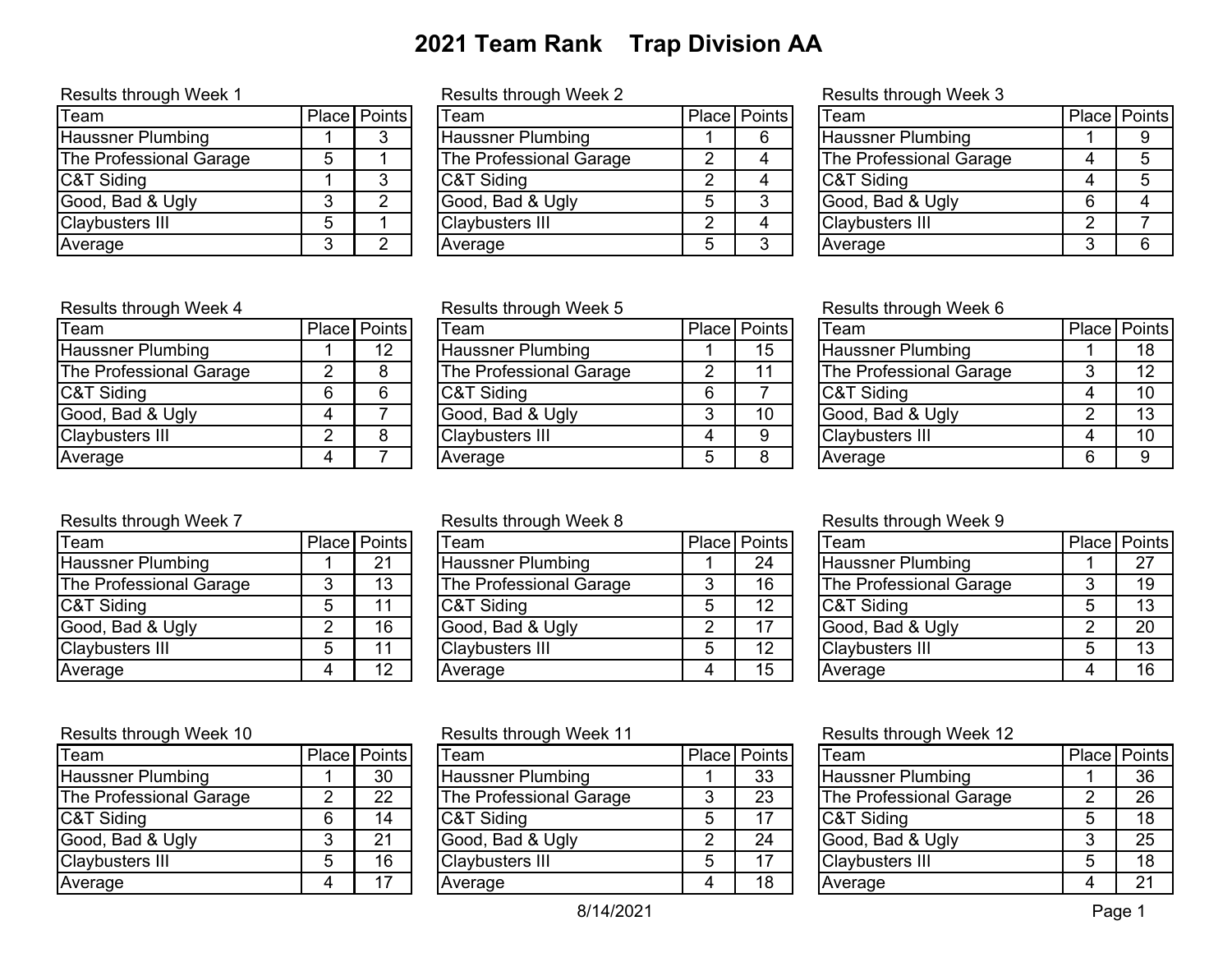# **2021 Team Rank Trap Division AA**

| <b>Team</b>              |   | Place Points |
|--------------------------|---|--------------|
| <b>Haussner Plumbing</b> |   |              |
| The Professional Garage  | 5 |              |
| C&T Siding               |   |              |
| Good, Bad & Ugly         | 3 |              |
| <b>Claybusters III</b>   | 5 |              |
| Average                  |   |              |

### Results through Week 1 **Results through Week 2** Results through Week 3

| Team                    | Place Points | Team                     | Place   Points | Team                     |   | Place   Points |
|-------------------------|--------------|--------------------------|----------------|--------------------------|---|----------------|
| Haussner Plumbing       |              | <b>Haussner Plumbing</b> |                | <b>Haussner Plumbing</b> |   |                |
| The Professional Garage |              | The Professional Garage  |                | The Professional Garage  |   |                |
| C&T Siding              |              | C&T Siding               |                | <b>C&amp;T Siding</b>    |   |                |
| Good, Bad & Ugly        |              | Good, Bad & Ugly         |                | Good, Bad & Ugly         | 6 |                |
| Claybusters III         |              | <b>Claybusters III</b>   |                | <b>Claybusters III</b>   |   |                |
| Average                 |              | Average                  |                | Average                  |   |                |
|                         |              |                          |                |                          |   |                |

| <b>Team</b>              |   | Place   Points |
|--------------------------|---|----------------|
| <b>Haussner Plumbing</b> |   |                |
| The Professional Garage  |   | 5              |
| C&T Siding               |   | 5              |
| Good, Bad & Ugly         | 6 |                |
| <b>Claybusters III</b>   | 2 |                |
| Average                  |   |                |

## Results through Week 4 **Results through Week 5** Results through Week 6

| Team                     |   | Place Points |
|--------------------------|---|--------------|
| <b>Haussner Plumbing</b> |   | 12           |
| The Professional Garage  |   | 8            |
| C&T Siding               | 6 |              |
| Good, Bad & Ugly         |   |              |
| <b>Claybusters III</b>   | 2 |              |
| Average                  |   |              |

| Team                    | Place   Points  | Team                     |   | Place Points | Team                     | Place   Points |
|-------------------------|-----------------|--------------------------|---|--------------|--------------------------|----------------|
| Haussner Plumbing       | 12 <sup>2</sup> | <b>Haussner Plumbing</b> |   | 15           | <b>Haussner Plumbing</b> | 18             |
| The Professional Garage |                 | The Professional Garage  |   |              | The Professional Garage  | 12             |
| C&T Siding              |                 | C&T Siding               | 6 |              | C&T Siding               | 10             |
| Good, Bad & Ugly        |                 | Good, Bad & Ugly         |   | 10           | Good, Bad & Ugly         | 13             |
| Claybusters III         |                 | <b>Claybusters III</b>   |   |              | <b>Claybusters III</b>   | 10             |
| Average                 |                 | Average                  |   |              | Average                  |                |
|                         |                 |                          |   |              |                          |                |

## Results through Week 7 **Results through Week 8** Results through Week 9

| Team                    | Place   Points | Team                     | Place   Points | 'Team                    | Place   Points |
|-------------------------|----------------|--------------------------|----------------|--------------------------|----------------|
| Haussner Plumbing       | 21             | <b>Haussner Plumbing</b> | 24             | <b>Haussner Plumbing</b> | 27             |
| The Professional Garage | 13             | The Professional Garage  | 16             | The Professional Garage  | 19             |
| C&T Siding              |                | C&T Siding               | 12             | <b>C&amp;T Siding</b>    | 13             |
| Good, Bad & Ugly        | 16             | Good, Bad & Ugly         |                | Good, Bad & Ugly         | 20             |
| Claybusters III         | 11             | <b>Claybusters III</b>   | 12             | Claybusters III          | 13             |
| Average                 | 12             | Average                  | 15             | Average                  | 16             |
|                         |                |                          |                |                          |                |

|                         |  |                 | 1.1                      |  |              |                          |   |              |  |
|-------------------------|--|-----------------|--------------------------|--|--------------|--------------------------|---|--------------|--|
| Team                    |  | Place   Points  | Team                     |  | Place Points | Team                     |   | Place Points |  |
| Haussner Plumbing       |  | 30              | <b>Haussner Plumbing</b> |  | 33           | <b>Haussner Plumbing</b> |   | 36           |  |
| The Professional Garage |  | 22 <sub>2</sub> | The Professional Garage  |  | 23           | The Professional Garage  |   | 26           |  |
| C&T Siding              |  | 14              | C&T Siding               |  |              | C&T Siding               |   | 18           |  |
| Good, Bad & Ugly        |  | 21              | Good, Bad & Ugly         |  | 24           | Good, Bad & Ugly         |   | 25           |  |
| Claybusters III         |  | 16              | <b>Claybusters III</b>   |  |              | <b>Claybusters III</b>   |   | 18           |  |
| Average                 |  | 17              | Average                  |  | 18           | Average                  | 4 | 21           |  |
|                         |  |                 |                          |  |              |                          |   |              |  |

| Team                     |   | Place Points |
|--------------------------|---|--------------|
| <b>Haussner Plumbing</b> |   | 18           |
| The Professional Garage  | 3 | 12           |
| C&T Siding               | 4 | 10           |
| Good, Bad & Ugly         | 2 | 13           |
| <b>Claybusters III</b>   | 4 | 10           |
| Average                  | 6 | 9            |
|                          |   |              |

| Team                     |   | Place   Points |
|--------------------------|---|----------------|
| <b>Haussner Plumbing</b> |   | 27             |
| The Professional Garage  | З | 19             |
| C&T Siding               | 5 | 13             |
| Good, Bad & Ugly         | 2 | 20             |
| <b>Claybusters III</b>   | 5 | 13             |
| Average                  |   | 16             |

### Results through Week 10 Results through Week 11 Results through Week 12

| Team                     |   | Place   Points |
|--------------------------|---|----------------|
| <b>Haussner Plumbing</b> |   | 36             |
| The Professional Garage  | 2 | 26             |
| C&T Siding               | 5 | 18             |
| Good, Bad & Ugly         | 3 | 25             |
| <b>Claybusters III</b>   | 5 | 18             |
| Average                  |   | 21             |

| Team                     |   | Place Points |
|--------------------------|---|--------------|
| <b>Haussner Plumbing</b> |   | 30           |
| The Professional Garage  | 2 | 22           |
| C&T Siding               | 6 | 14           |
| Good, Bad & Ugly         | 3 | 21           |
| <b>Claybusters III</b>   | 5 | 16           |
| Average                  |   |              |